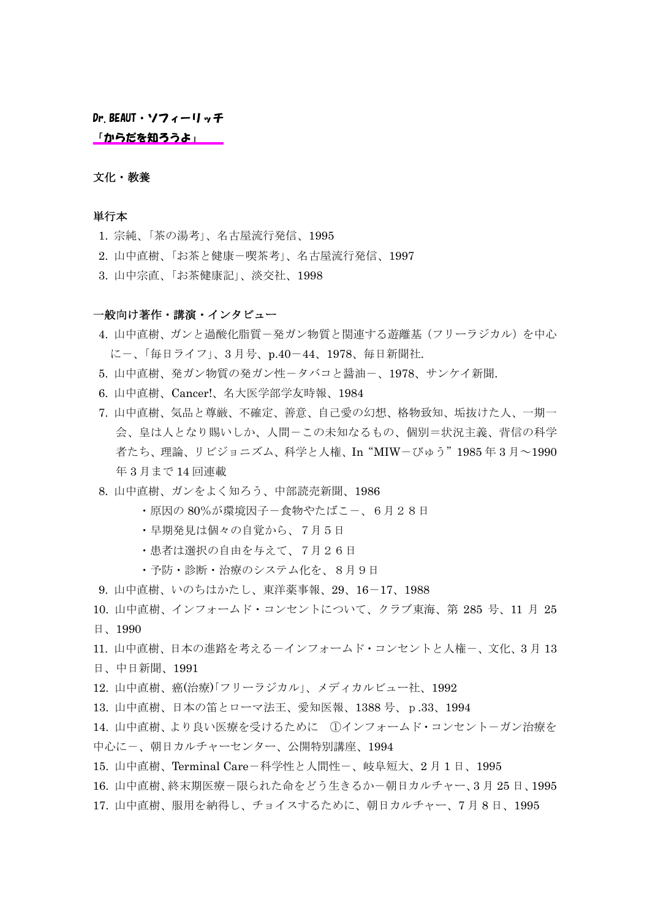[Dr.BEAUT・ソフィーリッチ](http://sophyrich.com/intro/mune.html)

[「からだを知ろうよ」](http://sophyrich.com/intro/healthy.html)

## 文化・教養

#### 単行本

- 1. 宗純、「茶の湯考」、名古屋流行発信、1995
- 2. 山中直樹、「お茶と健康-喫茶考」、名古屋流行発信、1997
- 3. 山中宗直、「お茶健康記」、淡交社、1998

#### 一般向け著作・講演・インタビュー

- 4. 山中直樹、ガンと過酸化脂質ー発ガン物質と関連する遊離基(フリーラジカル)を中心 に-、「毎日ライフ」、3 月号、p.40-44、1978、毎日新聞社.
- 5. 山中直樹、発ガン物質の発ガン性ータバコと醤油ー、1978、サンケイ新聞.
- 6. 山中直樹、Cancer!、名大医学部学友時報、1984
- 7. 山中直樹、気品と尊厳、不確定、善意、自己愛の幻想、格物致知、垢抜けた人、一期一 会、皇は人となり賜いしか、人間-この未知なるもの、個別=状況主義、背信の科学 者たち、理論、リビジョニズム、科学と人権、In "MIW-びゅう" 1985年3月~1990 年 3 月まで 14 回連載
- 8. 山中直樹、ガンをよく知ろう、中部読売新聞、1986
	- •原因の 80%が環境因子-食物やたばこー、6月28日
	- ・早期発見は個々の自覚から、7月5日
	- ・患者は選択の自由を与えて、7月26日
	- ・予防・診断・治療のシステム化を、8月9日
- 9. 山中直樹、いのちはかたし、東洋薬事報、29、16-17、1988
- 10. 山中直樹、インフォームド・コンセントについて、クラブ東海、第 285 号、11 月 25
- 日、1990
- 11. 山中直樹、日本の進路を考える-インフォームド・コンセントと人権-、文化、3月13
- 日、中日新聞、1991
- 12. 山中直樹、癌(治療)「フリーラジカル」、メディカルビュー社、1992
- 13. 山中直樹、日本の笛とローマ法王、愛知医報、1388 号、p.33、1994
- 14. 山中直樹、より良い医療を受けるために ①インフォームド・コンセントーガン治療を 中心に-、朝日カルチャーセンター、公開特別講座、1994
- 15. 山中直樹、Terminal Care-科学性と人間性-、岐阜短大、2 月 1 日、1995
- 16. 山中直樹、終末期医療-限られた命をどう生きるか-朝日カルチャー、3 月 25 日、1995
- 17. 山中直樹、服用を納得し、チョイスするために、朝日カルチャー、7 月 8 日、1995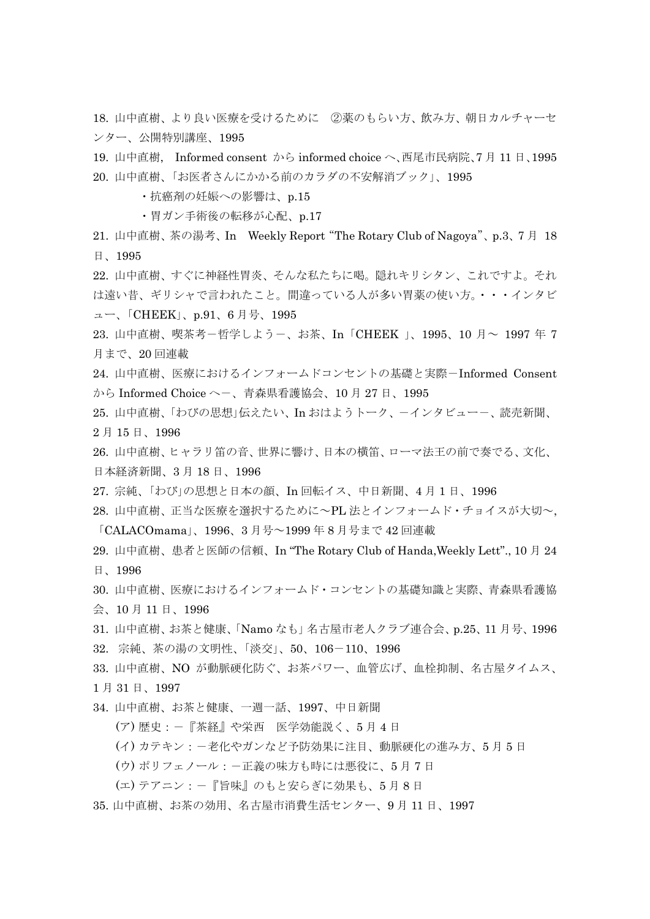18. 山中直樹、より良い医療を受けるために ②薬のもらい方、飲み方、朝日カルチャーセ ンター、公開特別講座、1995

19. 山中直樹, Informed consent から informed choice へ、西尾市民病院、7 月 11 日、1995 20. 山中直樹、「お医者さんにかかる前のカラダの不安解消ブック」、1995

・抗癌剤の妊娠への影響は、p.15

- ・胃ガン手術後の転移が心配、p.17
- 21. 山中直樹、茶の湯考、In Weekly Report"The Rotary Club of Nagoya"、p.3、7 月 18 日、1995
- 22. 山中直樹、すぐに神経性胃炎、そんな私たちに喝。隠れキリシタン、これですよ。それ は遠い昔、ギリシャで言われたこと。間違っている人が多い胃薬の使い方。・・・インタビ ュー、「CHEEK」、p.91、6 月号、1995
- 23. 山中直樹、喫茶考-哲学しようー、お茶、In「CHEEK 」、1995、10 月~ 1997 年 7 月まで、20 回連載
- 24. 山中直樹、医療におけるインフォームドコンセントの基礎と実際-Informed Consent から Informed Choice へー、青森県看護協会、10月27日、1995
- 25. 山中直樹、「わびの思想」伝えたい、In おはようトーク、ーインタビューー、読売新聞、 2 月 15 日、1996
- 26. 山中直樹、ヒャラリ笛の音、世界に響け、日本の横笛、ローマ法王の前で奏でる、文化、 日本経済新聞、3 月 18 日、1996
- 27. 宗純、「わび」の思想と日本の顔、In 回転イス、中日新聞、4 月 1 日、1996
- 28. 山中直樹、正当な医療を選択するために~PL 法とインフォームド・チョイスが大切~, 「CALACOmama」、1996、3 月号~1999 年 8 月号まで 42 回連載
- 29. 山中直樹、患者と医師の信頼、In "The Rotary Club of Handa,Weekly Lett"., 10 月 24 日、1996
- 30. 山中直樹、医療におけるインフォームド・コンセントの基礎知識と実際、青森県看護協 会、10 月 11 日、1996
- 31. 山中直樹、お茶と健康、「Namo なも」名古屋市老人クラブ連合会、p.25、11 月号、1996 32. 宗純、茶の湯の文明性、「淡交」、50、106-110、1996
- 33. 山中直樹、NO が動脈硬化防ぐ、お茶パワー、血管広げ、血栓抑制、名古屋タイムス、 1 月 31 日、1997
- 34. 山中直樹、お茶と健康、一週一話、1997、中日新聞
	- (ア) 歴史:-『茶経』や栄西 医学効能説く、5 月 4 日
	- (イ) カテキン:一老化やガンなど予防効果に注目、動脈硬化の進み方、5月5日
	- (ウ) ポリフェノール:-正義の味方も時には悪役に、5月7日
	- (エ) テアニン:-『旨味』のもと安らぎに効果も、5 月 8 日
- 35. 山中直樹、お茶の効用、名古屋市消費生活センター、9 月 11 日、1997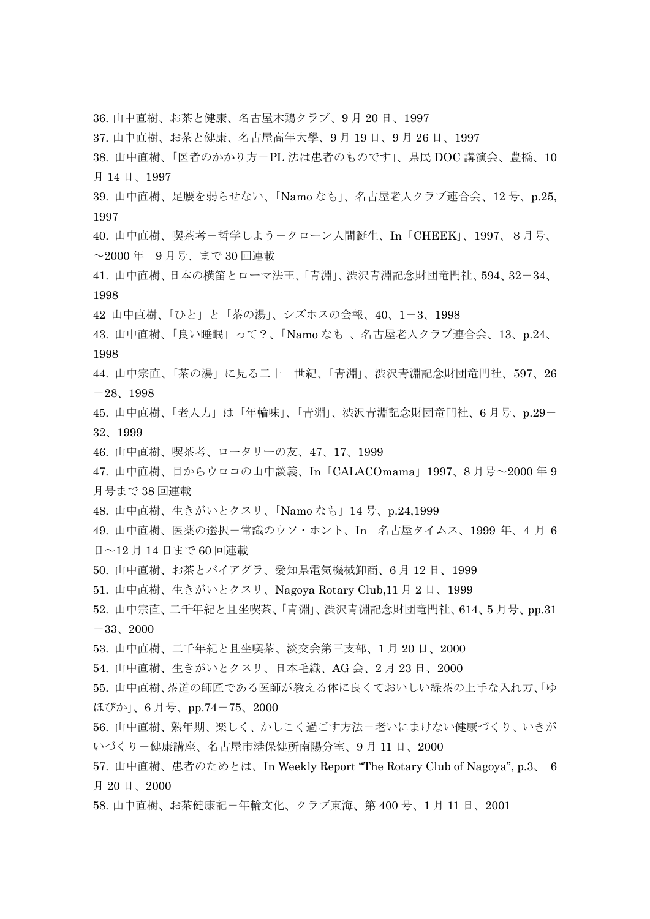36. 山中直樹、お茶と健康、名古屋木鶏クラブ、9 月 20 日、1997 37. 山中直樹、お茶と健康、名古屋高年大學、9 月 19 日、9 月 26 日、1997 38. 山中直樹、「医者のかかり方-PL 法は患者のものです」、県民 DOC 講演会、豊橋、10 月 14 日、1997 39. 山中直樹、足腰を弱らせない、「Namo なも」、名古屋老人クラブ連合会、12 号、p.25, 1997 40. 山中直樹、喫茶考-哲学しよう-クローン人間誕生、In「CHEEK」、1997、8月号、 ~2000 年 9 月号、まで 30 回連載 41. 山中直樹、日本の横笛とローマ法王、「青淵」、渋沢青淵記念財団竜門社、594、32-34、 1998 42 山中直樹、「ひと」と「茶の湯」、シズホスの会報、40、1-3、1998 43. 山中直樹、「良い睡眠」って?、「Namo なも」、名古屋老人クラブ連合会、13、p.24、 1998 44. 山中宗直、「茶の湯」に見る二十一世紀、「青淵」、渋沢青淵記念財団竜門社、597、26  $-28$ , 1998 45. 山中直樹、「老人力」は「年輪味」、「青淵」、渋沢青淵記念財団竜門社、6 月号、p.29- 32、1999 46. 山中直樹、喫茶考、ロータリーの友、47、17、1999 47. 山中直樹、目からウロコの山中談義、In「CALACOmama」1997、8 月号~2000 年 9 月号まで 38 回連載 48. 山中直樹、生きがいとクスリ、「Namo なも」14 号、p.24,1999 49. 山中直樹、医薬の選択-常識のウソ・ホント、In 名古屋タイムス、1999 年、4 月 6 日~12 月 14 日まで 60 回連載 50. 山中直樹、お茶とバイアグラ、愛知県電気機械卸商、6 月 12 日、1999 51. 山中直樹、生きがいとクスリ、Nagoya Rotary Club,11 月 2 日、1999 52. 山中宗直、二千年紀と且坐喫茶、「青淵」、渋沢青淵記念財団竜門社、614、5 月号、pp.31  $-33, 2000$ 53. 山中直樹、二千年紀と且坐喫茶、淡交会第三支部、1 月 20 日、2000 54. 山中直樹、生きがいとクスリ、日本毛織、AG 会、2 月 23 日、2000 55. 山中直樹、茶道の師匠である医師が教える体に良くておいしい緑茶の上手な入れ方、「ゆ ほびか」、6 月号、pp.74-75、2000 56. 山中直樹、熟年期、楽しく、かしこく過ごす方法-老いにまけない健康づくり、いきが いづくり-健康講座、名古屋市港保健所南陽分室、9 月 11 日、2000 57. 山中直樹、患者のためとは、In Weekly Report "The Rotary Club of Nagoya", p.3、 6 月 20 日、2000 58. 山中直樹、お茶健康記-年輪文化、クラブ東海、第 400 号、1 月 11 日、2001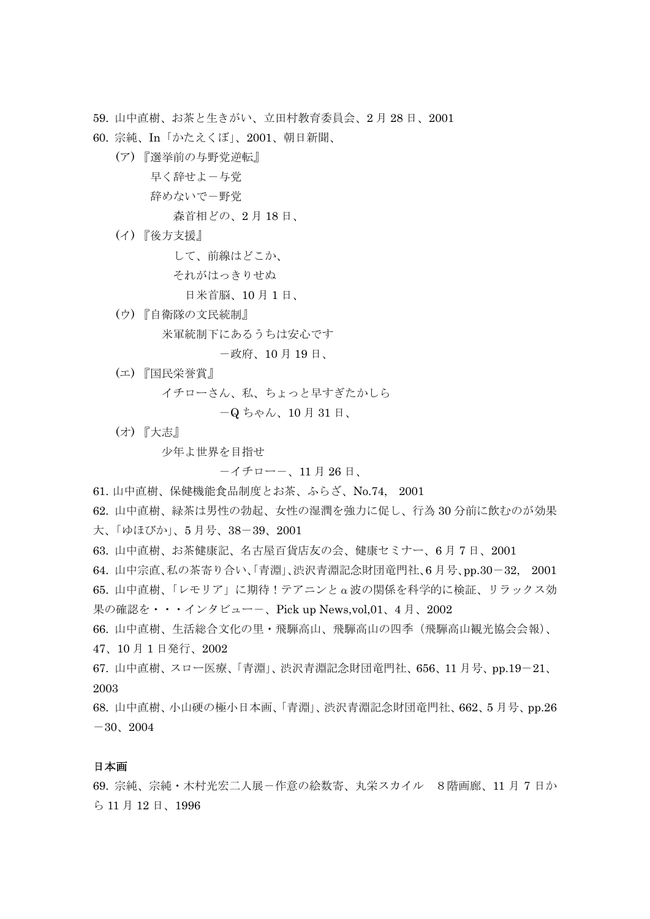59. 山中直樹、お茶と生きがい、立田村教育委員会、2 月 28 日、2001

60. 宗純、In「かたえくぼ」、2001、朝日新聞、

(ア) 『選挙前の与野党逆転』

早く辞せよ-与党

辞めないで-野党

森首相どの、2 月 18 日、

(イ) 『後方支援』

して、前線はどこか、

それがはっきりせぬ

日米首脳、10 月 1 日、

(ウ) 『自衛隊の文民統制』

米軍統制下にあるうちは安心です

-政府、10 月 19 日、

(エ) 『国民栄誉賞』

イチローさん、私、ちょっと早すぎたかしら

-Q ちゃん、10 月 31 日、

(オ) 『大志』

少年よ世界を目指せ

-イチロー-、11 月 26 日、

61. 山中直樹、保健機能食品制度とお茶、ふらざ、No.74, 2001

62. 山中直樹、緑茶は男性の勃起、女性の湿潤を強力に促し、行為 30 分前に飲むのが効果

大、「ゆほびか」、5 月号、38-39、2001

63. 山中直樹、お茶健康記、名古屋百貨店友の会、健康セミナー、6 月 7 日、2001

64. 山中宗直、私の茶寄り合い、「青淵」、渋沢青淵記念財団竜門社、6 月号、pp.30-32, 2001

65. 山中直樹、「レモリア」に期待!テアニンとα波の関係を科学的に検証、リラックス効 果の確認を・・・インタビュー-、Pick up News,vol,01、4 月、2002

- 66. 山中直樹、生活総合文化の里・飛騨高山、飛騨高山の四季(飛騨高山観光協会会報)、
- 47、10 月 1 日発行、2002
- 67. 山中直樹、スロー医療、「青淵」、渋沢青淵記念財団竜門社、656、11 月号、pp.19-21、 2003

68. 山中直樹、小山硬の極小日本画、「青淵」、渋沢青淵記念財団竜門社、662、5 月号、pp.26  $-30, 2004$ 

# 日本画

69. 宗純、宗純・木村光宏二人展-作意の絵数寄、丸栄スカイル 8階画廊、11 月 7 日か ら 11 月 12 日、1996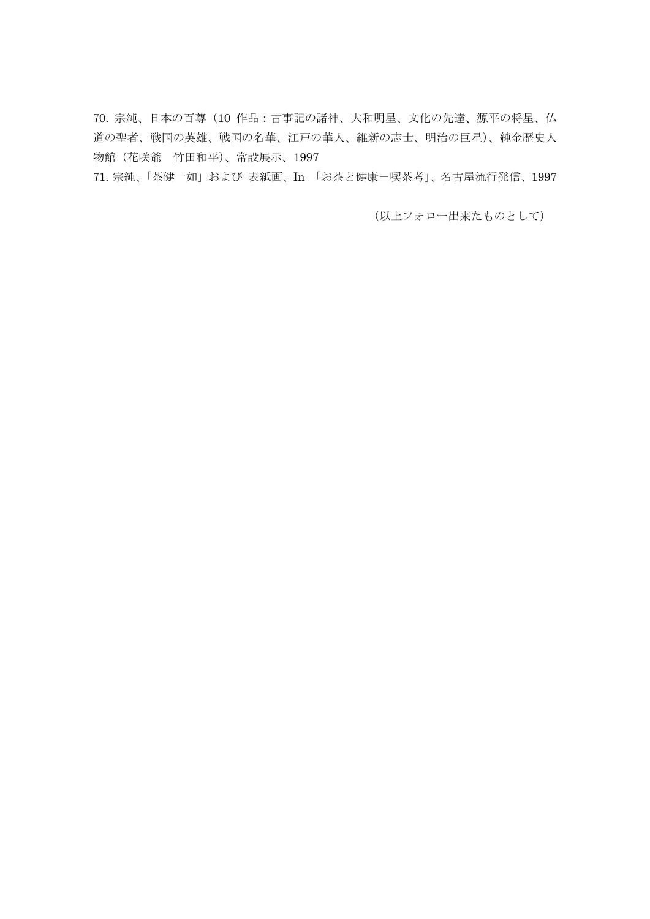70. 宗純、日本の百尊(10 作品:古事記の諸神、大和明星、文化の先達、源平の将星、仏 道の聖者、戦国の英雄、戦国の名華、江戸の華人、維新の志士、明治の巨星)、純金歴史人 物館(花咲爺 竹田和平)、常設展示、1997

71. 宗純、「茶健一如」および 表紙画、In 「お茶と健康-喫茶考」、名古屋流行発信、1997

(以上フォロー出来たものとして)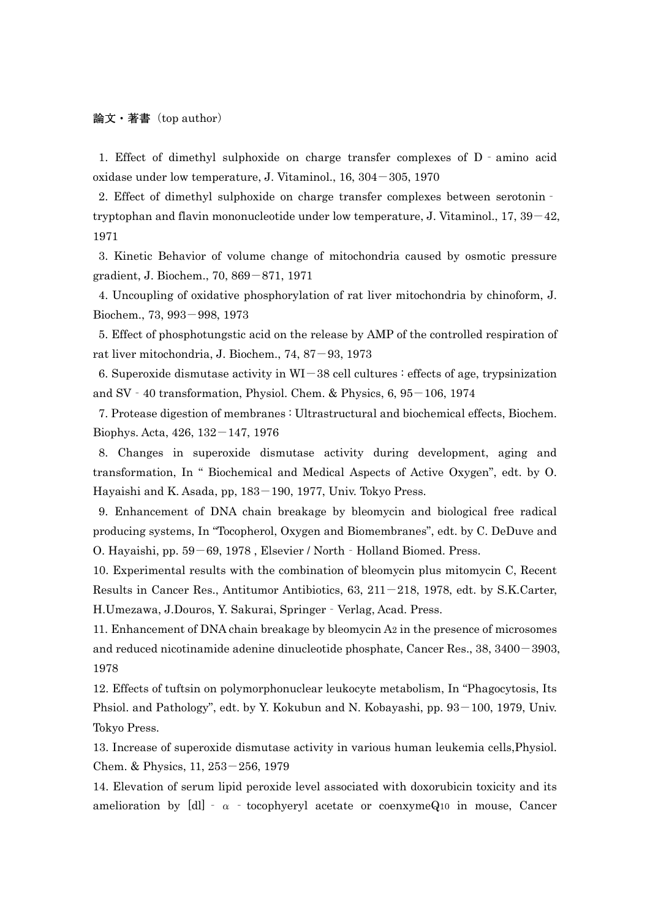### 論文・著書(top author)

1. Effect of dimethyl sulphoxide on charge transfer complexes of D‐amino acid oxidase under low temperature, J. Vitaminol.,  $16, 304-305, 1970$ 

2. Effect of dimethyl sulphoxide on charge transfer complexes between serotonin‐ tryptophan and flavin mononucleotide under low temperature, J. Vitaminol.,  $17, 39-42$ , 1971

3. Kinetic Behavior of volume change of mitochondria caused by osmotic pressure gradient, J. Biochem., 70, 869-871, 1971

4. Uncoupling of oxidative phosphorylation of rat liver mitochondria by chinoform, J. Biochem., 73, 993-998, 1973

5. Effect of phosphotungstic acid on the release by AMP of the controlled respiration of rat liver mitochondria, J. Biochem., 74, 87-93, 1973

6. Superoxide dismutase activity in  $WI-38$  cell cultures : effects of age, trypsinization and SV  $-40$  transformation, Physiol. Chem. & Physics,  $6, 95-106, 1974$ 

7. Protease digestion of membranes : Ultrastructural and biochemical effects, Biochem. Biophys. Acta, 426, 132-147, 1976

8. Changes in superoxide dismutase activity during development, aging and transformation, In " Biochemical and Medical Aspects of Active Oxygen", edt. by O. Hayaishi and K. Asada, pp, 183–190, 1977, Univ. Tokyo Press.

9. Enhancement of DNA chain breakage by bleomycin and biological free radical producing systems, In "Tocopherol, Oxygen and Biomembranes", edt. by C. DeDuve and O. Hayaishi, pp. 59–69, 1978, Elsevier / North - Holland Biomed. Press.

10. Experimental results with the combination of bleomycin plus mitomycin C, Recent Results in Cancer Res., Antitumor Antibiotics,  $63$ ,  $211-218$ , 1978, edt. by S.K.Carter, H.Umezawa, J.Douros, Y. Sakurai, Springer‐Verlag, Acad. Press.

11. Enhancement of DNA chain breakage by bleomycin A2 in the presence of microsomes and reduced nicotinamide adenine dinucleotide phosphate, Cancer Res., 38, 3400-3903, 1978

12. Effects of tuftsin on polymorphonuclear leukocyte metabolism, In "Phagocytosis, Its Phsiol. and Pathology", edt. by Y. Kokubun and N. Kobayashi, pp. 93–100, 1979, Univ. Tokyo Press.

13. Increase of superoxide dismutase activity in various human leukemia cells,Physiol. Chem. & Physics, 11, 253-256, 1979

14. Elevation of serum lipid peroxide level associated with doxorubicin toxicity and its amelioration by [dl] -  $\alpha$  - tocophyeryl acetate or coenxymeQ10 in mouse, Cancer